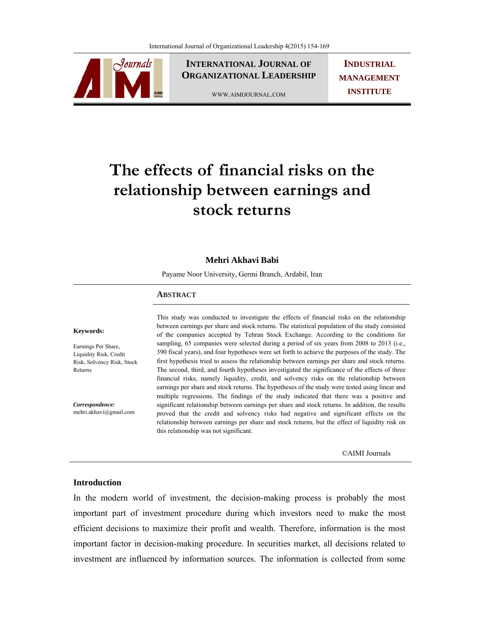

**INTERNATIONAL JOURNAL OF ORGANIZATIONAL LEADERSHIP**

WWW.AIMIJOURNAL.COM

**INDUSTRIAL MANAGEMENT INSTITUTE**

# **The effects of financial risks on the relationship between earnings and stock returns**

#### **Mehri Akhavi Babi**

Payame Noor University, Germi Branch, Ardabil, Iran

#### **ABSTRACT**

#### **Keywords:**

Earnings Per Share, Liquidity Risk, Credit Risk, Solvency Risk, Stock Returns

*Correspondence:*  mehri.akhavi@gmail.com This study was conducted to investigate the effects of financial risks on the relationship between earnings per share and stock returns. The statistical population of the study consisted of the companies accepted by Tehran Stock Exchange. According to the conditions for sampling, 65 companies were selected during a period of six years from 2008 to 2013 (i.e., 390 fiscal years), and four hypotheses were set forth to achieve the purposes of the study. The first hypothesis tried to assess the relationship between earnings per share and stock returns. The second, third, and fourth hypotheses investigated the significance of the effects of three financial risks, namely liquidity, credit, and solvency risks on the relationship between earnings per share and stock returns. The hypotheses of the study were tested using linear and multiple regressions. The findings of the study indicated that there was a positive and significant relationship between earnings per share and stock returns. In addition, the results proved that the credit and solvency risks had negative and significant effects on the relationship between earnings per share and stock returns, but the effect of liquidity risk on this relationship was not significant.

©AIMI Journals

# **Introduction**

In the modern world of investment, the decision-making process is probably the most important part of investment procedure during which investors need to make the most efficient decisions to maximize their profit and wealth. Therefore, information is the most important factor in decision-making procedure. In securities market, all decisions related to investment are influenced by information sources. The information is collected from some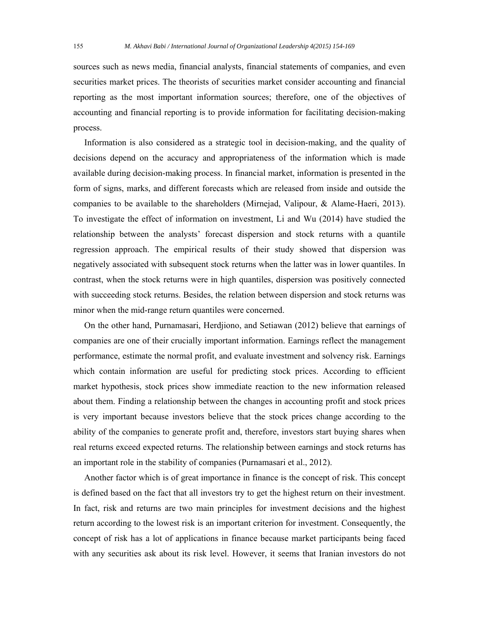sources such as news media, financial analysts, financial statements of companies, and even securities market prices. The theorists of securities market consider accounting and financial reporting as the most important information sources; therefore, one of the objectives of accounting and financial reporting is to provide information for facilitating decision-making process.

 Information is also considered as a strategic tool in decision-making, and the quality of decisions depend on the accuracy and appropriateness of the information which is made available during decision-making process. In financial market, information is presented in the form of signs, marks, and different forecasts which are released from inside and outside the companies to be available to the shareholders (Mirnejad, Valipour, & Alame-Haeri, 2013). To investigate the effect of information on investment, Li and Wu (2014) have studied the relationship between the analysts' forecast dispersion and stock returns with a quantile regression approach. The empirical results of their study showed that dispersion was negatively associated with subsequent stock returns when the latter was in lower quantiles. In contrast, when the stock returns were in high quantiles, dispersion was positively connected with succeeding stock returns. Besides, the relation between dispersion and stock returns was minor when the mid-range return quantiles were concerned.

 On the other hand, Purnamasari, Herdjiono, and Setiawan (2012) believe that earnings of companies are one of their crucially important information. Earnings reflect the management performance, estimate the normal profit, and evaluate investment and solvency risk. Earnings which contain information are useful for predicting stock prices. According to efficient market hypothesis, stock prices show immediate reaction to the new information released about them. Finding a relationship between the changes in accounting profit and stock prices is very important because investors believe that the stock prices change according to the ability of the companies to generate profit and, therefore, investors start buying shares when real returns exceed expected returns. The relationship between earnings and stock returns has an important role in the stability of companies (Purnamasari et al., 2012).

 Another factor which is of great importance in finance is the concept of risk. This concept is defined based on the fact that all investors try to get the highest return on their investment. In fact, risk and returns are two main principles for investment decisions and the highest return according to the lowest risk is an important criterion for investment. Consequently, the concept of risk has a lot of applications in finance because market participants being faced with any securities ask about its risk level. However, it seems that Iranian investors do not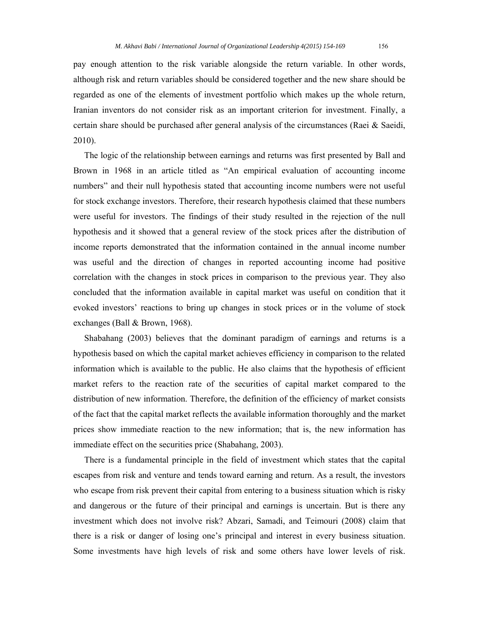pay enough attention to the risk variable alongside the return variable. In other words, although risk and return variables should be considered together and the new share should be regarded as one of the elements of investment portfolio which makes up the whole return, Iranian inventors do not consider risk as an important criterion for investment. Finally, a certain share should be purchased after general analysis of the circumstances (Raei & Saeidi, 2010).

 The logic of the relationship between earnings and returns was first presented by Ball and Brown in 1968 in an article titled as "An empirical evaluation of accounting income numbers" and their null hypothesis stated that accounting income numbers were not useful for stock exchange investors. Therefore, their research hypothesis claimed that these numbers were useful for investors. The findings of their study resulted in the rejection of the null hypothesis and it showed that a general review of the stock prices after the distribution of income reports demonstrated that the information contained in the annual income number was useful and the direction of changes in reported accounting income had positive correlation with the changes in stock prices in comparison to the previous year. They also concluded that the information available in capital market was useful on condition that it evoked investors' reactions to bring up changes in stock prices or in the volume of stock exchanges (Ball & Brown, 1968).

 Shabahang (2003) believes that the dominant paradigm of earnings and returns is a hypothesis based on which the capital market achieves efficiency in comparison to the related information which is available to the public. He also claims that the hypothesis of efficient market refers to the reaction rate of the securities of capital market compared to the distribution of new information. Therefore, the definition of the efficiency of market consists of the fact that the capital market reflects the available information thoroughly and the market prices show immediate reaction to the new information; that is, the new information has immediate effect on the securities price (Shabahang, 2003).

 There is a fundamental principle in the field of investment which states that the capital escapes from risk and venture and tends toward earning and return. As a result, the investors who escape from risk prevent their capital from entering to a business situation which is risky and dangerous or the future of their principal and earnings is uncertain. But is there any investment which does not involve risk? Abzari, Samadi, and Teimouri (2008) claim that there is a risk or danger of losing one's principal and interest in every business situation. Some investments have high levels of risk and some others have lower levels of risk.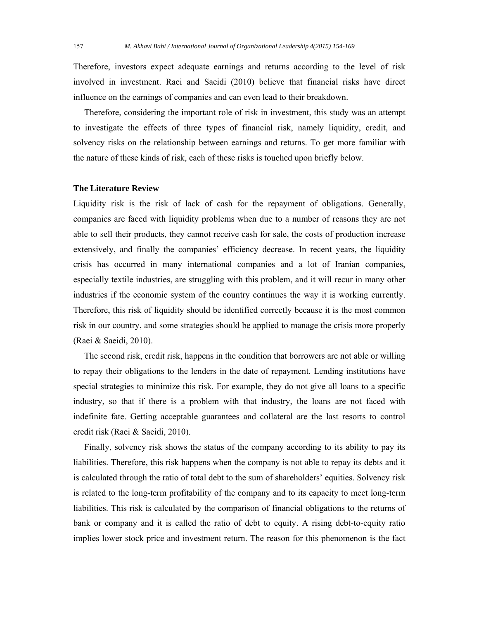Therefore, investors expect adequate earnings and returns according to the level of risk involved in investment. Raei and Saeidi (2010) believe that financial risks have direct influence on the earnings of companies and can even lead to their breakdown.

 Therefore, considering the important role of risk in investment, this study was an attempt to investigate the effects of three types of financial risk, namely liquidity, credit, and solvency risks on the relationship between earnings and returns. To get more familiar with the nature of these kinds of risk, each of these risks is touched upon briefly below.

#### **The Literature Review**

Liquidity risk is the risk of lack of cash for the repayment of obligations. Generally, companies are faced with liquidity problems when due to a number of reasons they are not able to sell their products, they cannot receive cash for sale, the costs of production increase extensively, and finally the companies' efficiency decrease. In recent years, the liquidity crisis has occurred in many international companies and a lot of Iranian companies, especially textile industries, are struggling with this problem, and it will recur in many other industries if the economic system of the country continues the way it is working currently. Therefore, this risk of liquidity should be identified correctly because it is the most common risk in our country, and some strategies should be applied to manage the crisis more properly (Raei & Saeidi, 2010).

 The second risk, credit risk, happens in the condition that borrowers are not able or willing to repay their obligations to the lenders in the date of repayment. Lending institutions have special strategies to minimize this risk. For example, they do not give all loans to a specific industry, so that if there is a problem with that industry, the loans are not faced with indefinite fate. Getting acceptable guarantees and collateral are the last resorts to control credit risk (Raei & Saeidi, 2010).

 Finally, solvency risk shows the status of the company according to its ability to pay its liabilities. Therefore, this risk happens when the company is not able to repay its debts and it is calculated through the ratio of total debt to the sum of shareholders' equities. Solvency risk is related to the long-term profitability of the company and to its capacity to meet long-term liabilities. This risk is calculated by the comparison of financial obligations to the returns of bank or company and it is called the ratio of debt to equity. A rising debt-to-equity ratio implies lower stock price and investment return. The reason for this phenomenon is the fact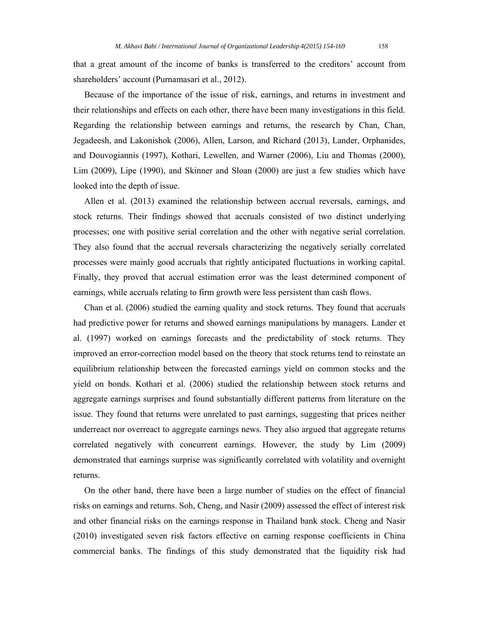that a great amount of the income of banks is transferred to the creditors' account from shareholders' account (Purnamasari et al., 2012).

 Because of the importance of the issue of risk, earnings, and returns in investment and their relationships and effects on each other, there have been many investigations in this field. Regarding the relationship between earnings and returns, the research by Chan, Chan, Jegadeesh, and Lakonishok (2006), Allen, Larson, and Richard (2013), Lander, Orphanides, and Douvogiannis (1997), Kothari, Lewellen, and Warner (2006), Liu and Thomas (2000), Lim (2009), Lipe (1990), and Skinner and Sloan (2000) are just a few studies which have looked into the depth of issue.

 Allen et al. (2013) examined the relationship between accrual reversals, earnings, and stock returns. Their findings showed that accruals consisted of two distinct underlying processes; one with positive serial correlation and the other with negative serial correlation. They also found that the accrual reversals characterizing the negatively serially correlated processes were mainly good accruals that rightly anticipated fluctuations in working capital. Finally, they proved that accrual estimation error was the least determined component of earnings, while accruals relating to firm growth were less persistent than cash flows.

 Chan et al. (2006) studied the earning quality and stock returns. They found that accruals had predictive power for returns and showed earnings manipulations by managers. Lander et al. (1997) worked on earnings forecasts and the predictability of stock returns. They improved an error-correction model based on the theory that stock returns tend to reinstate an equilibrium relationship between the forecasted earnings yield on common stocks and the yield on bonds. Kothari et al. (2006) studied the relationship between stock returns and aggregate earnings surprises and found substantially different patterns from literature on the issue. They found that returns were unrelated to past earnings, suggesting that prices neither underreact nor overreact to aggregate earnings news. They also argued that aggregate returns correlated negatively with concurrent earnings. However, the study by Lim (2009) demonstrated that earnings surprise was significantly correlated with volatility and overnight returns.

 On the other hand, there have been a large number of studies on the effect of financial risks on earnings and returns. Soh, Cheng, and Nasir (2009) assessed the effect of interest risk and other financial risks on the earnings response in Thailand bank stock. Cheng and Nasir (2010) investigated seven risk factors effective on earning response coefficients in China commercial banks. The findings of this study demonstrated that the liquidity risk had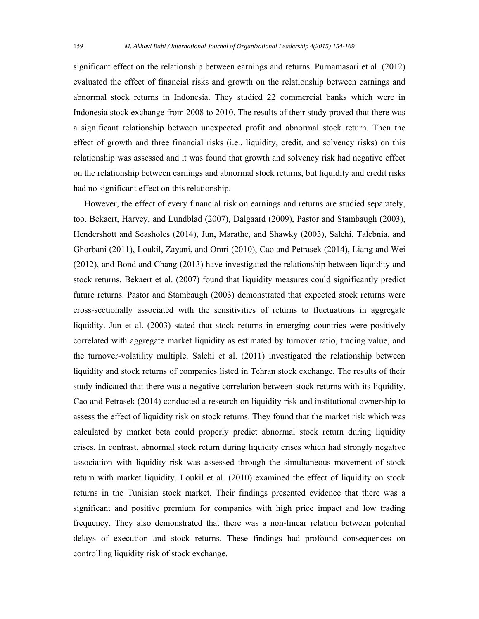significant effect on the relationship between earnings and returns. Purnamasari et al. (2012) evaluated the effect of financial risks and growth on the relationship between earnings and abnormal stock returns in Indonesia. They studied 22 commercial banks which were in Indonesia stock exchange from 2008 to 2010. The results of their study proved that there was a significant relationship between unexpected profit and abnormal stock return. Then the effect of growth and three financial risks (i.e., liquidity, credit, and solvency risks) on this relationship was assessed and it was found that growth and solvency risk had negative effect on the relationship between earnings and abnormal stock returns, but liquidity and credit risks had no significant effect on this relationship.

 However, the effect of every financial risk on earnings and returns are studied separately, too. Bekaert, Harvey, and Lundblad (2007), Dalgaard (2009), Pastor and Stambaugh (2003), Hendershott and Seasholes (2014), Jun, Marathe, and Shawky (2003), Salehi, Talebnia, and Ghorbani (2011), Loukil, Zayani, and Omri (2010), Cao and Petrasek (2014), Liang and Wei (2012), and Bond and Chang (2013) have investigated the relationship between liquidity and stock returns. Bekaert et al. (2007) found that liquidity measures could significantly predict future returns. Pastor and Stambaugh (2003) demonstrated that expected stock returns were cross-sectionally associated with the sensitivities of returns to fluctuations in aggregate liquidity. Jun et al. (2003) stated that stock returns in emerging countries were positively correlated with aggregate market liquidity as estimated by turnover ratio, trading value, and the turnover-volatility multiple. Salehi et al. (2011) investigated the relationship between liquidity and stock returns of companies listed in Tehran stock exchange. The results of their study indicated that there was a negative correlation between stock returns with its liquidity. Cao and Petrasek (2014) conducted a research on liquidity risk and institutional ownership to assess the effect of liquidity risk on stock returns. They found that the market risk which was calculated by market beta could properly predict abnormal stock return during liquidity crises. In contrast, abnormal stock return during liquidity crises which had strongly negative association with liquidity risk was assessed through the simultaneous movement of stock return with market liquidity. Loukil et al. (2010) examined the effect of liquidity on stock returns in the Tunisian stock market. Their findings presented evidence that there was a significant and positive premium for companies with high price impact and low trading frequency. They also demonstrated that there was a non-linear relation between potential delays of execution and stock returns. These findings had profound consequences on controlling liquidity risk of stock exchange.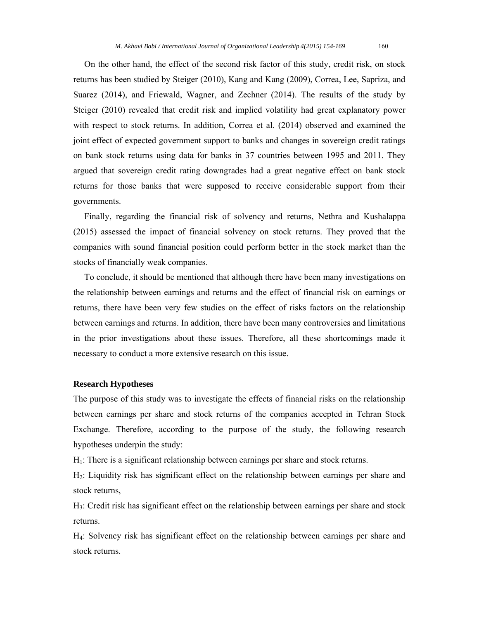On the other hand, the effect of the second risk factor of this study, credit risk, on stock returns has been studied by Steiger (2010), Kang and Kang (2009), Correa, Lee, Sapriza, and Suarez (2014), and Friewald, Wagner, and Zechner (2014). The results of the study by Steiger (2010) revealed that credit risk and implied volatility had great explanatory power with respect to stock returns. In addition, Correa et al. (2014) observed and examined the joint effect of expected government support to banks and changes in sovereign credit ratings on bank stock returns using data for banks in 37 countries between 1995 and 2011. They argued that sovereign credit rating downgrades had a great negative effect on bank stock returns for those banks that were supposed to receive considerable support from their governments.

 Finally, regarding the financial risk of solvency and returns, Nethra and Kushalappa (2015) assessed the impact of financial solvency on stock returns. They proved that the companies with sound financial position could perform better in the stock market than the stocks of financially weak companies.

 To conclude, it should be mentioned that although there have been many investigations on the relationship between earnings and returns and the effect of financial risk on earnings or returns, there have been very few studies on the effect of risks factors on the relationship between earnings and returns. In addition, there have been many controversies and limitations in the prior investigations about these issues. Therefore, all these shortcomings made it necessary to conduct a more extensive research on this issue.

### **Research Hypotheses**

The purpose of this study was to investigate the effects of financial risks on the relationship between earnings per share and stock returns of the companies accepted in Tehran Stock Exchange. Therefore, according to the purpose of the study, the following research hypotheses underpin the study:

 $H<sub>1</sub>$ : There is a significant relationship between earnings per share and stock returns.

H2: Liquidity risk has significant effect on the relationship between earnings per share and stock returns,

H3: Credit risk has significant effect on the relationship between earnings per share and stock returns.

H4: Solvency risk has significant effect on the relationship between earnings per share and stock returns.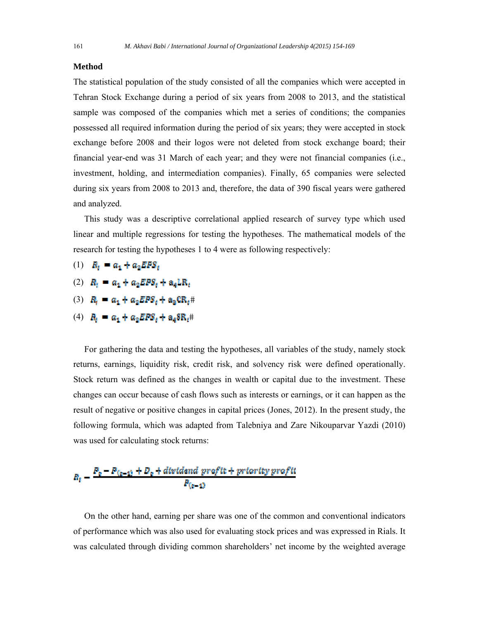#### **Method**

The statistical population of the study consisted of all the companies which were accepted in Tehran Stock Exchange during a period of six years from 2008 to 2013, and the statistical sample was composed of the companies which met a series of conditions; the companies possessed all required information during the period of six years; they were accepted in stock exchange before 2008 and their logos were not deleted from stock exchange board; their financial year-end was 31 March of each year; and they were not financial companies (i.e., investment, holding, and intermediation companies). Finally, 65 companies were selected during six years from 2008 to 2013 and, therefore, the data of 390 fiscal years were gathered and analyzed.

 This study was a descriptive correlational applied research of survey type which used linear and multiple regressions for testing the hypotheses. The mathematical models of the research for testing the hypotheses 1 to 4 were as following respectively:

- (1)  $R_t = a_1 + a_2 EFS_t$
- (2)  $R_i = a_1 + a_2 EPS_i + a_4 LR_i$
- (3)  $R_i = a_1 + a_2 E P S_i + a_3 C R_i$ #
- (4)  $B_t = a_1 + a_2 EPS_t + a_4 S R_t$ #

 For gathering the data and testing the hypotheses, all variables of the study, namely stock returns, earnings, liquidity risk, credit risk, and solvency risk were defined operationally. Stock return was defined as the changes in wealth or capital due to the investment. These changes can occur because of cash flows such as interests or earnings, or it can happen as the result of negative or positive changes in capital prices (Jones, 2012). In the present study, the following formula, which was adapted from Talebniya and Zare Nikouparvar Yazdi (2010) was used for calculating stock returns:

$$
R_t = \frac{P_0 - P_{(t-1)} + D_0 + \text{divtdend profit} + \text{proterty profit}}{P_{(t-1)}}
$$

 On the other hand, earning per share was one of the common and conventional indicators of performance which was also used for evaluating stock prices and was expressed in Rials. It was calculated through dividing common shareholders' net income by the weighted average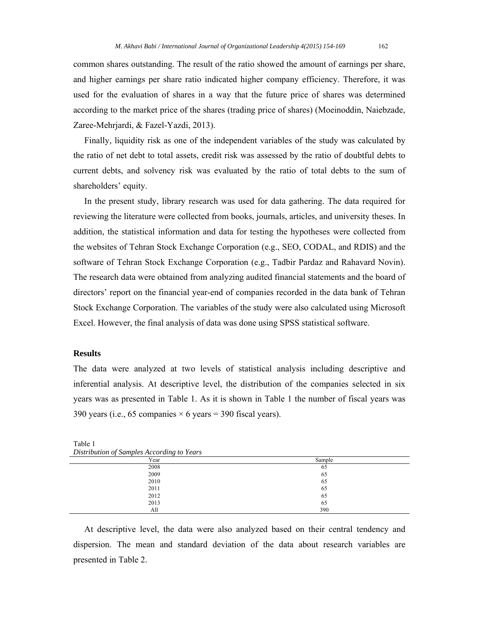common shares outstanding. The result of the ratio showed the amount of earnings per share, and higher earnings per share ratio indicated higher company efficiency. Therefore, it was used for the evaluation of shares in a way that the future price of shares was determined according to the market price of the shares (trading price of shares) (Moeinoddin, Naiebzade, Zaree-Mehrjardi, & Fazel-Yazdi, 2013).

 Finally, liquidity risk as one of the independent variables of the study was calculated by the ratio of net debt to total assets, credit risk was assessed by the ratio of doubtful debts to current debts, and solvency risk was evaluated by the ratio of total debts to the sum of shareholders' equity.

In the present study, library research was used for data gathering. The data required for reviewing the literature were collected from books, journals, articles, and university theses. In addition, the statistical information and data for testing the hypotheses were collected from the websites of Tehran Stock Exchange Corporation (e.g., SEO, CODAL, and RDIS) and the software of Tehran Stock Exchange Corporation (e.g., Tadbir Pardaz and Rahavard Novin). The research data were obtained from analyzing audited financial statements and the board of directors' report on the financial year-end of companies recorded in the data bank of Tehran Stock Exchange Corporation. The variables of the study were also calculated using Microsoft Excel. However, the final analysis of data was done using SPSS statistical software.

## **Results**

The data were analyzed at two levels of statistical analysis including descriptive and inferential analysis. At descriptive level, the distribution of the companies selected in six years was as presented in Table 1. As it is shown in Table 1 the number of fiscal years was 390 years (i.e., 65 companies  $\times$  6 years = 390 fiscal years).

| <i>Distribution of Sumples According to Tears</i> |        |
|---------------------------------------------------|--------|
| Year                                              | Sample |
| 2008                                              | 65     |
| 2009                                              | 65     |
| 2010                                              | 65     |
| 2011                                              | 65     |
| 2012                                              | 65     |
| 2013                                              | 65     |
| All                                               | 390    |

Table 1 *Distribution of Samples According to Years* 

 At descriptive level, the data were also analyzed based on their central tendency and dispersion. The mean and standard deviation of the data about research variables are presented in Table 2.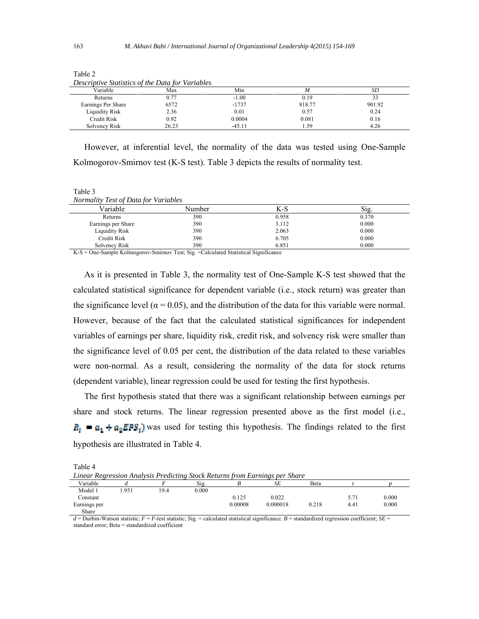| - - - - - -<br>-------------- | .<br>. |          |        |               |
|-------------------------------|--------|----------|--------|---------------|
| Variable                      | Max    | Min      |        | SD            |
| Returns                       | 0.77   | $-1.00$  | 0.19   | $\mathcal{L}$ |
| Earnings Per Share            | 6572   | $-1737$  | 818.77 | 901.92        |
| <b>Liquidity Risk</b>         | 2.36   | 0.01     | 0.57   | 0.24          |
| Credit Risk                   | 0.92   | 0.0004   | 0.081  | 0.16          |
| Solvency Risk                 | 26.23  | $-45.11$ | .59    | 4.26          |

Table 2 *Descriptive Statistics of the Data for Variables* 

 However, at inferential level, the normality of the data was tested using One-Sample Kolmogorov-Smirnov test (K-S test). Table 3 depicts the results of normality test.

Table 3 *Normality Test of Data for Variables* 

| .<br>________<br>.    |        |       |       |
|-----------------------|--------|-------|-------|
| Variable              | Number | $K-S$ | 512   |
| Returns               | 390    | 0.958 | 0.370 |
| Earnings per Share    | 390    | 3.112 | 0.000 |
| <b>Liquidity Risk</b> | 390    | 2.063 | 0.000 |
| <b>Credit Risk</b>    | 390    | 6.705 | 0.000 |
| Solvency Risk         | 390    | 6.851 | 0.000 |

K-S = One-Sample Kolmogorov-Smirnov Test; Sig. =Calculated Statistical Significance

 As it is presented in Table 3, the normality test of One-Sample K-S test showed that the calculated statistical significance for dependent variable (i.e., stock return) was greater than the significance level ( $\alpha$  = 0.05), and the distribution of the data for this variable were normal. However, because of the fact that the calculated statistical significances for independent variables of earnings per share, liquidity risk, credit risk, and solvency risk were smaller than the significance level of 0.05 per cent, the distribution of the data related to these variables were non-normal. As a result, considering the normality of the data for stock returns (dependent variable), linear regression could be used for testing the first hypothesis.

 The first hypothesis stated that there was a significant relationship between earnings per share and stock returns. The linear regression presented above as the first model (i.e.,  $R_t = a_1 + a_2 EPS_t$ ) was used for testing this hypothesis. The findings related to the first hypothesis are illustrated in Table 4.

Table 4

| Linear Regression Analysis Predicting Stock Returns from Earnings per Share |  |  |
|-----------------------------------------------------------------------------|--|--|
|-----------------------------------------------------------------------------|--|--|

|              |      |      |       |         | .        |       |      |       |  |
|--------------|------|------|-------|---------|----------|-------|------|-------|--|
| Variable     |      |      | Sig.  |         | SE       | Beta  |      |       |  |
| Model 1      | .951 | 19.4 | 0.000 |         |          |       |      |       |  |
| Constant     |      |      |       | 0.125   | 0.022    |       | 5.7  | 0.000 |  |
| Earnings per |      |      |       | 0.00008 | 0.000018 | 0.218 | 4.41 | 0.000 |  |
| Share        |      |      |       |         |          |       |      |       |  |

 $d =$  Durbin-Watson statistic;  $F = F$ -test statistic; Sig. = calculated statistical significance.  $B =$  standardized regression coefficient; *SE* = standard error; Beta = standardized coefficient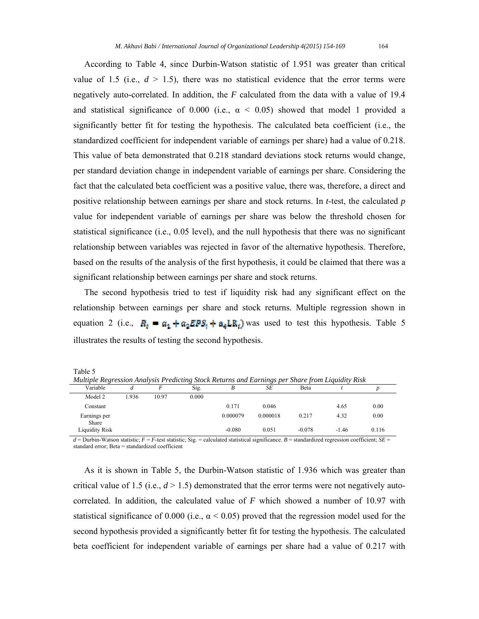According to Table 4, since Durbin-Watson statistic of 1.951 was greater than critical value of 1.5 (i.e.,  $d > 1.5$ ), there was no statistical evidence that the error terms were negatively auto-correlated. In addition, the *F* calculated from the data with a value of 19.4 and statistical significance of 0.000 (i.e.,  $\alpha$  < 0.05) showed that model 1 provided a significantly better fit for testing the hypothesis. The calculated beta coefficient (i.e., the standardized coefficient for independent variable of earnings per share) had a value of 0.218. This value of beta demonstrated that 0.218 standard deviations stock returns would change, per standard deviation change in independent variable of earnings per share. Considering the fact that the calculated beta coefficient was a positive value, there was, therefore, a direct and positive relationship between earnings per share and stock returns. In *t*-test, the calculated *p* value for independent variable of earnings per share was below the threshold chosen for statistical significance (i.e., 0.05 level), and the null hypothesis that there was no significant relationship between variables was rejected in favor of the alternative hypothesis. Therefore, based on the results of the analysis of the first hypothesis, it could be claimed that there was a significant relationship between earnings per share and stock returns.

 The second hypothesis tried to test if liquidity risk had any significant effect on the relationship between earnings per share and stock returns. Multiple regression shown in equation 2 (i.e.,  $R_t = a_1 + a_2 EPS_t + a_4 LR_t$ ) was used to test this hypothesis. Table 5 illustrates the results of testing the second hypothesis.

Table 5

| Multiple Regression Analysis Predicting Stock Returns and Earnings per Share from Liquidity Risk |       |       |       |          |          |          |         |                  |  |
|--------------------------------------------------------------------------------------------------|-------|-------|-------|----------|----------|----------|---------|------------------|--|
| Variable                                                                                         |       |       | Sig.  | B        | SE       | Beta     |         | $\boldsymbol{D}$ |  |
| Model 2                                                                                          | 1.936 | 10.97 | 0.000 |          |          |          |         |                  |  |
| Constant                                                                                         |       |       |       | 0.171    | 0.046    |          | 4.65    | 0.00             |  |
| Earnings per<br>Share                                                                            |       |       |       | 0.000079 | 0.000018 | 0.217    | 4.32    | 0.00             |  |
| Liquidity Risk                                                                                   |       |       |       | $-0.080$ | 0.051    | $-0.078$ | $-1.46$ | 0.116            |  |

 $d =$  Durbin-Watson statistic;  $F = F$ -test statistic; Sig. = calculated statistical significance.  $B =$  standardized regression coefficient;  $SE =$ standard error; Beta = standardized coefficient

 As it is shown in Table 5, the Durbin-Watson statistic of 1.936 which was greater than critical value of 1.5 (i.e.,  $d > 1.5$ ) demonstrated that the error terms were not negatively autocorrelated. In addition, the calculated value of *F* which showed a number of 10.97 with statistical significance of 0.000 (i.e.,  $\alpha$  < 0.05) proved that the regression model used for the second hypothesis provided a significantly better fit for testing the hypothesis. The calculated beta coefficient for independent variable of earnings per share had a value of 0.217 with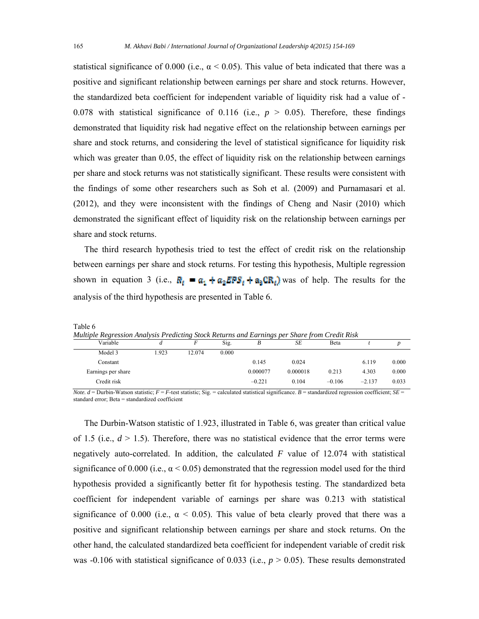statistical significance of 0.000 (i.e.,  $\alpha$  < 0.05). This value of beta indicated that there was a positive and significant relationship between earnings per share and stock returns. However, the standardized beta coefficient for independent variable of liquidity risk had a value of - 0.078 with statistical significance of 0.116 (i.e.,  $p > 0.05$ ). Therefore, these findings demonstrated that liquidity risk had negative effect on the relationship between earnings per share and stock returns, and considering the level of statistical significance for liquidity risk which was greater than 0.05, the effect of liquidity risk on the relationship between earnings per share and stock returns was not statistically significant. These results were consistent with the findings of some other researchers such as Soh et al. (2009) and Purnamasari et al. (2012), and they were inconsistent with the findings of Cheng and Nasir (2010) which demonstrated the significant effect of liquidity risk on the relationship between earnings per share and stock returns.

 The third research hypothesis tried to test the effect of credit risk on the relationship between earnings per share and stock returns. For testing this hypothesis, Multiple regression shown in equation 3 (i.e.,  $\mathbb{R}_t = a_t + a_0 \mathbb{E} \mathbb{P} s_t + a_0 \mathbb{C} \mathbb{R}_t$ ) was of help. The results for the analysis of the third hypothesis are presented in Table 6.

| mumple negression Animysis I redicting Slock Neturns and Editings per Share from Cream Nisk |      |        |       |          |          |          |          |       |  |
|---------------------------------------------------------------------------------------------|------|--------|-------|----------|----------|----------|----------|-------|--|
| Variable                                                                                    | u    |        | Sig.  | В        | SE       | Beta     |          |       |  |
| Model 3                                                                                     | .923 | 12.074 | 0.000 |          |          |          |          |       |  |
| Constant                                                                                    |      |        |       | 0.145    | 0.024    |          | 6.119    | 0.000 |  |
| Earnings per share                                                                          |      |        |       | 0.000077 | 0.000018 | 0.213    | 4.303    | 0.000 |  |
| Credit risk                                                                                 |      |        |       | $-0.221$ | 0.104    | $-0.106$ | $-2.137$ | 0.033 |  |

*Multiple Regression Analysis Predicting Stock Returns and Earnings per Share from Credit Risk*

*Note. d* = Durbin-Watson statistic;  $F = F$ -test statistic; Sig. = calculated statistical significance. *B* = standardized regression coefficient; *SE* = standard error; Beta = standardized coefficient

 The Durbin-Watson statistic of 1.923, illustrated in Table 6, was greater than critical value of 1.5 (i.e.,  $d > 1.5$ ). Therefore, there was no statistical evidence that the error terms were negatively auto-correlated. In addition, the calculated *F* value of 12.074 with statistical significance of 0.000 (i.e.,  $\alpha$  < 0.05) demonstrated that the regression model used for the third hypothesis provided a significantly better fit for hypothesis testing. The standardized beta coefficient for independent variable of earnings per share was 0.213 with statistical significance of 0.000 (i.e.,  $\alpha$  < 0.05). This value of beta clearly proved that there was a positive and significant relationship between earnings per share and stock returns. On the other hand, the calculated standardized beta coefficient for independent variable of credit risk was  $-0.106$  with statistical significance of 0.033 (i.e.,  $p > 0.05$ ). These results demonstrated

Table 6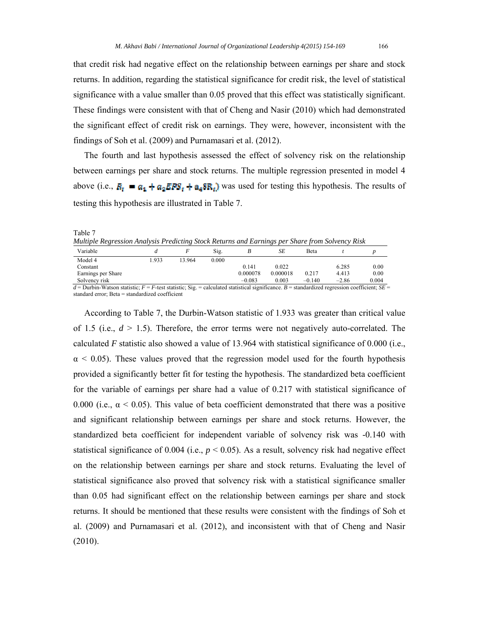that credit risk had negative effect on the relationship between earnings per share and stock returns. In addition, regarding the statistical significance for credit risk, the level of statistical significance with a value smaller than 0.05 proved that this effect was statistically significant. These findings were consistent with that of Cheng and Nasir (2010) which had demonstrated the significant effect of credit risk on earnings. They were, however, inconsistent with the findings of Soh et al. (2009) and Purnamasari et al. (2012).

 The fourth and last hypothesis assessed the effect of solvency risk on the relationship between earnings per share and stock returns. The multiple regression presented in model 4 above (i.e.,  $R_t = a_1 + a_2 EPS_t + a_4 SR_t$ ) was used for testing this hypothesis. The results of testing this hypothesis are illustrated in Table 7.

Table 7 *Multiple Regression Analysis Predicting Stock Returns and Earnings per Share from Solvency Risk* 

| Variable                                                                                                                                                                            |      |       | Sig.  |          | SE       | Beta     |         |       |
|-------------------------------------------------------------------------------------------------------------------------------------------------------------------------------------|------|-------|-------|----------|----------|----------|---------|-------|
| Model 4                                                                                                                                                                             | .933 | 3.964 | 0.000 |          |          |          |         |       |
| Constant                                                                                                                                                                            |      |       |       | 0.141    | 0.022    |          | 6.285   | 0.00  |
| Earnings per Share                                                                                                                                                                  |      |       |       | 0.000078 | 0.000018 | 0.217    | 4.413   | 0.00  |
| Solvency risk                                                                                                                                                                       |      |       |       | $-0.083$ | 0.003    | $-0.140$ | $-2.86$ | 0.004 |
| $J =$ Durbin Watson statistic: $E = E$ tost statistic: $\vec{S}$ is $\vec{S}$ = colourated statistical significance. $D =$ standardized recreasion easificient: $\vec{S}$ $\vec{E}$ |      |       |       |          |          |          |         |       |

*d* = Durbin-Watson statistic; *F* = *F*-test statistic; Sig. = calculated statistical significance. *B* = standardized regression coefficient; *SE* = standard error; Beta = standardized coefficient

 According to Table 7, the Durbin-Watson statistic of 1.933 was greater than critical value of 1.5 (i.e.,  $d > 1.5$ ). Therefore, the error terms were not negatively auto-correlated. The calculated *F* statistic also showed a value of 13.964 with statistical significance of 0.000 (i.e.,  $\alpha$  < 0.05). These values proved that the regression model used for the fourth hypothesis provided a significantly better fit for testing the hypothesis. The standardized beta coefficient for the variable of earnings per share had a value of 0.217 with statistical significance of 0.000 (i.e.,  $\alpha$  < 0.05). This value of beta coefficient demonstrated that there was a positive and significant relationship between earnings per share and stock returns. However, the standardized beta coefficient for independent variable of solvency risk was -0.140 with statistical significance of 0.004 (i.e.,  $p < 0.05$ ). As a result, solvency risk had negative effect on the relationship between earnings per share and stock returns. Evaluating the level of statistical significance also proved that solvency risk with a statistical significance smaller than 0.05 had significant effect on the relationship between earnings per share and stock returns. It should be mentioned that these results were consistent with the findings of Soh et al. (2009) and Purnamasari et al. (2012), and inconsistent with that of Cheng and Nasir (2010).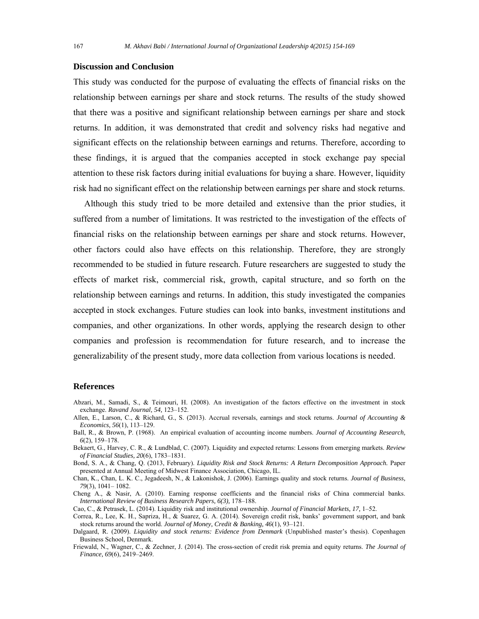### **Discussion and Conclusion**

This study was conducted for the purpose of evaluating the effects of financial risks on the relationship between earnings per share and stock returns. The results of the study showed that there was a positive and significant relationship between earnings per share and stock returns. In addition, it was demonstrated that credit and solvency risks had negative and significant effects on the relationship between earnings and returns. Therefore, according to these findings, it is argued that the companies accepted in stock exchange pay special attention to these risk factors during initial evaluations for buying a share. However, liquidity risk had no significant effect on the relationship between earnings per share and stock returns.

 Although this study tried to be more detailed and extensive than the prior studies, it suffered from a number of limitations. It was restricted to the investigation of the effects of financial risks on the relationship between earnings per share and stock returns. However, other factors could also have effects on this relationship. Therefore, they are strongly recommended to be studied in future research. Future researchers are suggested to study the effects of market risk, commercial risk, growth, capital structure, and so forth on the relationship between earnings and returns. In addition, this study investigated the companies accepted in stock exchanges. Future studies can look into banks, investment institutions and companies, and other organizations. In other words, applying the research design to other companies and profession is recommendation for future research, and to increase the generalizability of the present study, more data collection from various locations is needed.

# **References**

- Abzari, M., Samadi, S., & Teimouri, H. (2008). An investigation of the factors effective on the investment in stock exchange. *Ravand Journal, 54,* 123–152.
- Allen, E., Larson, C., & Richard, G., S. (2013). Accrual reversals, earnings and stock returns. *Journal of Accounting & Economics, 56*(1), 113–129.
- Ball, R., & Brown, P. (1968). An empirical evaluation of accounting income numbers. *Journal of Accounting Research, 6*(2), 159–178.
- Bekaert, G., Harvey, C. R., & Lundblad, C. (2007). Liquidity and expected returns: Lessons from emerging markets. *Review of Financial Studies, 20*(6), 1783–1831.

Bond, S. A., & Chang, Q. (2013, February). *Liquidity Risk and Stock Returns: A Return Decomposition Approach.* Paper presented at Annual Meeting of Midwest Finance Association, Chicago, IL.

- Chan, K., Chan, L. K. C., Jegadeesh, N., & Lakonishok, J. (2006). Earnings quality and stock returns. *Journal of Business, 79*(3), 1041– 1082.
- Cheng A., & Nasir, A. (2010). Earning response coefficients and the financial risks of China commercial banks. *International Review of Business Research Papers, 6(3),* 178–188.

Cao, C., & Petrasek, L. (2014). Liquidity risk and institutional ownership. *Journal of Financial Markets, 17,* 1–52.

Correa, R., Lee, K. H., Sapriza, H., & Suarez, G. A. (2014). Sovereign credit risk, banks' government support, and bank stock returns around the world. *Journal of Money, Credit & Banking, 46*(1), 93–121.

- Dalgaard, R. (2009). *Liquidity and stock returns: Evidence from Denmark* (Unpublished master's thesis). Copenhagen Business School, Denmark.
- Friewald, N., Wagner, C., & Zechner, J. (2014). The cross-section of credit risk premia and equity returns. *The Journal of Finance, 69*(6), 2419–2469.